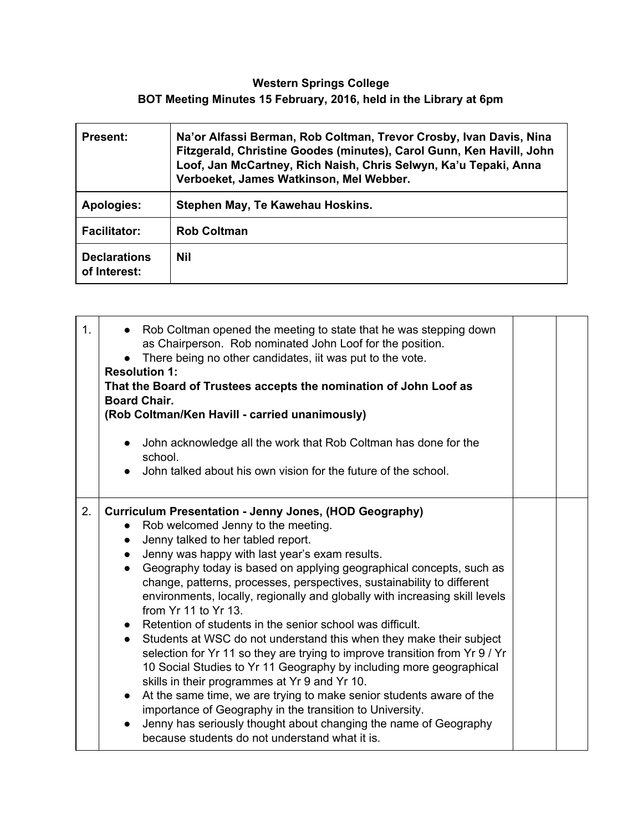## **Western Springs College BOT Meeting Minutes 15 February, 2016, held in the Library at 6pm**

| <b>Present:</b>                     | Na'or Alfassi Berman, Rob Coltman, Trevor Crosby, Ivan Davis, Nina<br>Fitzgerald, Christine Goodes (minutes), Carol Gunn, Ken Havill, John<br>Loof, Jan McCartney, Rich Naish, Chris Selwyn, Ka'u Tepaki, Anna<br>Verboeket, James Watkinson, Mel Webber. |
|-------------------------------------|-----------------------------------------------------------------------------------------------------------------------------------------------------------------------------------------------------------------------------------------------------------|
| Apologies:                          | Stephen May, Te Kawehau Hoskins.                                                                                                                                                                                                                          |
| <b>Facilitator:</b>                 | <b>Rob Coltman</b>                                                                                                                                                                                                                                        |
| <b>Declarations</b><br>of Interest: | <b>Nil</b>                                                                                                                                                                                                                                                |

| 1 <sub>1</sub> | • Rob Coltman opened the meeting to state that he was stepping down<br>as Chairperson. Rob nominated John Loof for the position.<br>• There being no other candidates, iit was put to the vote.<br><b>Resolution 1:</b><br>That the Board of Trustees accepts the nomination of John Loof as<br><b>Board Chair.</b><br>(Rob Coltman/Ken Havill - carried unanimously)<br>• John acknowledge all the work that Rob Coltman has done for the<br>school.<br>John talked about his own vision for the future of the school.                                                                                                                                                                                                                                                                                                                                                                                                                                                                                                                                                                                                       |  |
|----------------|-------------------------------------------------------------------------------------------------------------------------------------------------------------------------------------------------------------------------------------------------------------------------------------------------------------------------------------------------------------------------------------------------------------------------------------------------------------------------------------------------------------------------------------------------------------------------------------------------------------------------------------------------------------------------------------------------------------------------------------------------------------------------------------------------------------------------------------------------------------------------------------------------------------------------------------------------------------------------------------------------------------------------------------------------------------------------------------------------------------------------------|--|
| 2.             | <b>Curriculum Presentation - Jenny Jones, (HOD Geography)</b><br>• Rob welcomed Jenny to the meeting.<br>Jenny talked to her tabled report.<br>$\bullet$<br>Jenny was happy with last year's exam results.<br>Geography today is based on applying geographical concepts, such as<br>$\bullet$<br>change, patterns, processes, perspectives, sustainability to different<br>environments, locally, regionally and globally with increasing skill levels<br>from Yr 11 to Yr 13.<br>• Retention of students in the senior school was difficult.<br>Students at WSC do not understand this when they make their subject<br>$\bullet$<br>selection for Yr 11 so they are trying to improve transition from Yr 9 / Yr<br>10 Social Studies to Yr 11 Geography by including more geographical<br>skills in their programmes at Yr 9 and Yr 10.<br>At the same time, we are trying to make senior students aware of the<br>$\bullet$<br>importance of Geography in the transition to University.<br>Jenny has seriously thought about changing the name of Geography<br>$\bullet$<br>because students do not understand what it is. |  |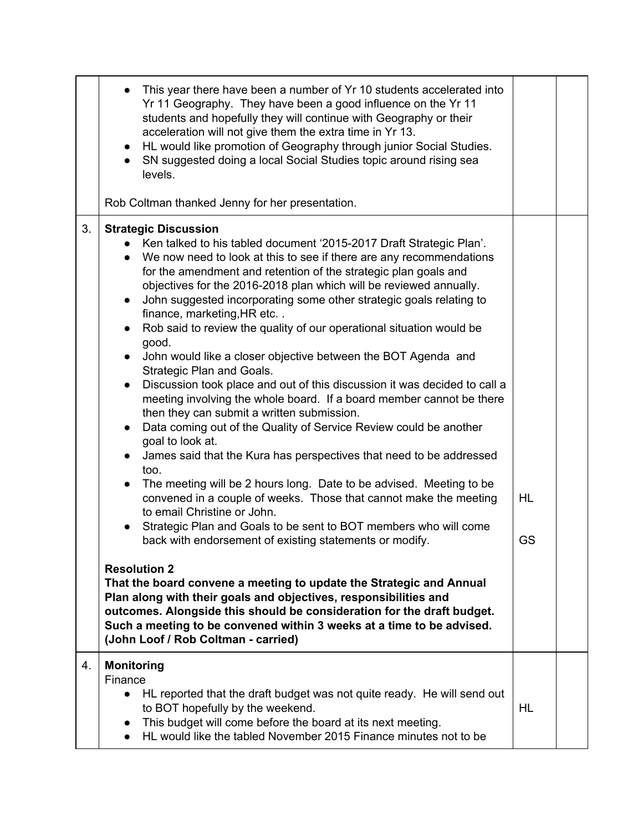|    | This year there have been a number of Yr 10 students accelerated into<br>Yr 11 Geography. They have been a good influence on the Yr 11<br>students and hopefully they will continue with Geography or their<br>acceleration will not give them the extra time in Yr 13.<br>HL would like promotion of Geography through junior Social Studies.<br>$\bullet$<br>SN suggested doing a local Social Studies topic around rising sea<br>$\bullet$<br>levels.                                                                                                                                                                                                                                                                                                                                                                                                                                                                                                                                                                                                                                                                                                                                                                                                                                                                                     |                 |  |
|----|----------------------------------------------------------------------------------------------------------------------------------------------------------------------------------------------------------------------------------------------------------------------------------------------------------------------------------------------------------------------------------------------------------------------------------------------------------------------------------------------------------------------------------------------------------------------------------------------------------------------------------------------------------------------------------------------------------------------------------------------------------------------------------------------------------------------------------------------------------------------------------------------------------------------------------------------------------------------------------------------------------------------------------------------------------------------------------------------------------------------------------------------------------------------------------------------------------------------------------------------------------------------------------------------------------------------------------------------|-----------------|--|
|    | Rob Coltman thanked Jenny for her presentation.                                                                                                                                                                                                                                                                                                                                                                                                                                                                                                                                                                                                                                                                                                                                                                                                                                                                                                                                                                                                                                                                                                                                                                                                                                                                                              |                 |  |
| 3. | <b>Strategic Discussion</b><br>Ken talked to his tabled document '2015-2017 Draft Strategic Plan'.<br>We now need to look at this to see if there are any recommendations<br>for the amendment and retention of the strategic plan goals and<br>objectives for the 2016-2018 plan which will be reviewed annually.<br>John suggested incorporating some other strategic goals relating to<br>$\bullet$<br>finance, marketing, HR etc<br>Rob said to review the quality of our operational situation would be<br>good.<br>John would like a closer objective between the BOT Agenda and<br>Strategic Plan and Goals.<br>Discussion took place and out of this discussion it was decided to call a<br>$\bullet$<br>meeting involving the whole board. If a board member cannot be there<br>then they can submit a written submission.<br>Data coming out of the Quality of Service Review could be another<br>goal to look at.<br>James said that the Kura has perspectives that need to be addressed<br>too.<br>The meeting will be 2 hours long. Date to be advised. Meeting to be<br>convened in a couple of weeks. Those that cannot make the meeting<br>to email Christine or John.<br>Strategic Plan and Goals to be sent to BOT members who will come<br>back with endorsement of existing statements or modify.<br><b>Resolution 2</b> | <b>HL</b><br>GS |  |
|    | That the board convene a meeting to update the Strategic and Annual<br>Plan along with their goals and objectives, responsibilities and<br>outcomes. Alongside this should be consideration for the draft budget.<br>Such a meeting to be convened within 3 weeks at a time to be advised.<br>(John Loof / Rob Coltman - carried)                                                                                                                                                                                                                                                                                                                                                                                                                                                                                                                                                                                                                                                                                                                                                                                                                                                                                                                                                                                                            |                 |  |
| 4. | <b>Monitoring</b><br>Finance<br>HL reported that the draft budget was not quite ready. He will send out<br>$\bullet$<br>to BOT hopefully by the weekend.<br>This budget will come before the board at its next meeting.<br>$\bullet$<br>HL would like the tabled November 2015 Finance minutes not to be<br>$\bullet$                                                                                                                                                                                                                                                                                                                                                                                                                                                                                                                                                                                                                                                                                                                                                                                                                                                                                                                                                                                                                        | HL              |  |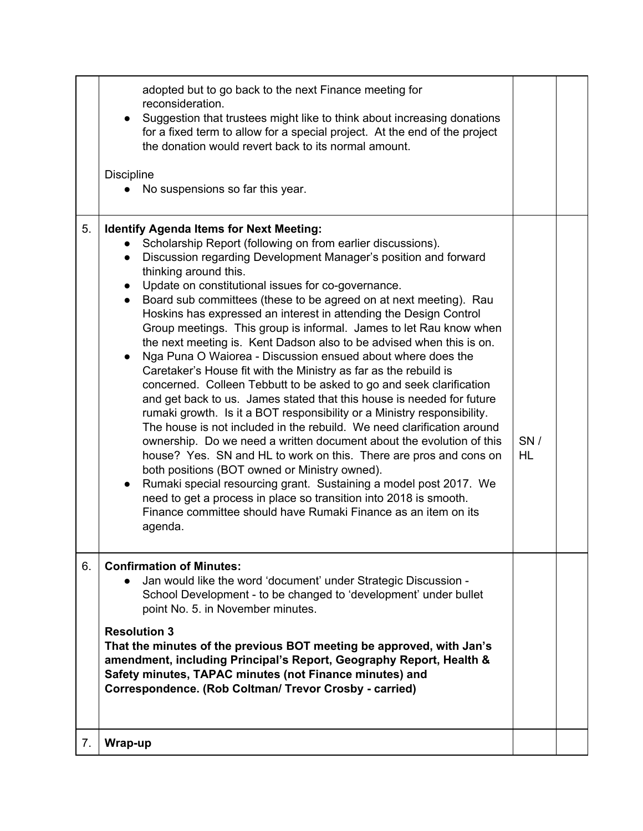|    | adopted but to go back to the next Finance meeting for<br>reconsideration.<br>Suggestion that trustees might like to think about increasing donations<br>for a fixed term to allow for a special project. At the end of the project<br>the donation would revert back to its normal amount.<br><b>Discipline</b><br>No suspensions so far this year.                                                                                                                                                                                                                                                                                                                                                                                                                                                                                                                                                                                                                                                                                                                                                                                                                                                                                                                                                                                                                                                                                           |           |  |
|----|------------------------------------------------------------------------------------------------------------------------------------------------------------------------------------------------------------------------------------------------------------------------------------------------------------------------------------------------------------------------------------------------------------------------------------------------------------------------------------------------------------------------------------------------------------------------------------------------------------------------------------------------------------------------------------------------------------------------------------------------------------------------------------------------------------------------------------------------------------------------------------------------------------------------------------------------------------------------------------------------------------------------------------------------------------------------------------------------------------------------------------------------------------------------------------------------------------------------------------------------------------------------------------------------------------------------------------------------------------------------------------------------------------------------------------------------|-----------|--|
| 5. | <b>Identify Agenda Items for Next Meeting:</b><br>Scholarship Report (following on from earlier discussions).<br>Discussion regarding Development Manager's position and forward<br>thinking around this.<br>Update on constitutional issues for co-governance.<br>$\bullet$<br>Board sub committees (these to be agreed on at next meeting). Rau<br>$\bullet$<br>Hoskins has expressed an interest in attending the Design Control<br>Group meetings. This group is informal. James to let Rau know when<br>the next meeting is. Kent Dadson also to be advised when this is on.<br>Nga Puna O Waiorea - Discussion ensued about where does the<br>Caretaker's House fit with the Ministry as far as the rebuild is<br>concerned. Colleen Tebbutt to be asked to go and seek clarification<br>and get back to us. James stated that this house is needed for future<br>rumaki growth. Is it a BOT responsibility or a Ministry responsibility.<br>The house is not included in the rebuild. We need clarification around<br>ownership. Do we need a written document about the evolution of this<br>house? Yes. SN and HL to work on this. There are pros and cons on<br>both positions (BOT owned or Ministry owned).<br>Rumaki special resourcing grant. Sustaining a model post 2017. We<br>need to get a process in place so transition into 2018 is smooth.<br>Finance committee should have Rumaki Finance as an item on its<br>agenda. | SN/<br>HL |  |
| 6. | <b>Confirmation of Minutes:</b><br>Jan would like the word 'document' under Strategic Discussion -<br>School Development - to be changed to 'development' under bullet<br>point No. 5. in November minutes.<br><b>Resolution 3</b><br>That the minutes of the previous BOT meeting be approved, with Jan's<br>amendment, including Principal's Report, Geography Report, Health &<br>Safety minutes, TAPAC minutes (not Finance minutes) and<br>Correspondence. (Rob Coltman/ Trevor Crosby - carried)                                                                                                                                                                                                                                                                                                                                                                                                                                                                                                                                                                                                                                                                                                                                                                                                                                                                                                                                         |           |  |
| 7. | Wrap-up                                                                                                                                                                                                                                                                                                                                                                                                                                                                                                                                                                                                                                                                                                                                                                                                                                                                                                                                                                                                                                                                                                                                                                                                                                                                                                                                                                                                                                        |           |  |